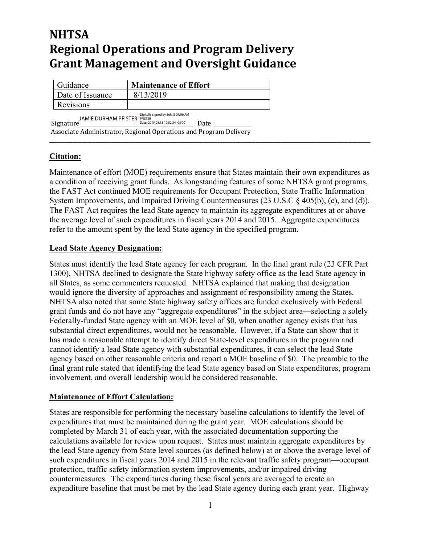# **NHTSA Regional Operations and Program Delivery Grant Management and Oversight Guidance**

| Guidance                         | <b>Maintenance of Effort</b> |
|----------------------------------|------------------------------|
| Date of Issuance                 | 8/13/2019                    |
| <b>Revisions</b>                 |                              |
| Digitally signed by JAMIE DURHAM |                              |

JAMIE DURHAM PFISTER Digitally signed by JAMIE DURHAM PFISTER Date: 2019.08.13 12:52:34 -04'00'

Signature \_\_\_\_\_\_\_\_\_\_\_\_\_\_\_\_\_\_\_\_\_\_\_\_\_\_\_\_\_\_\_\_\_\_\_\_\_\_\_\_\_\_\_\_ Date \_\_\_\_\_\_\_\_\_\_\_\_\_\_\_ Associate Administrator, Regional Operations and Program Delivery

### **Citation:**

Maintenance of effort (MOE) requirements ensure that States maintain their own expenditures as a condition of receiving grant funds. As longstanding features of some NHTSA grant programs, the FAST Act continued MOE requirements for Occupant Protection, State Traffic Information System Improvements, and Impaired Driving Countermeasures (23 U.S.C § 405(b), (c), and (d)). The FAST Act requires the lead State agency to maintain its aggregate expenditures at or above the average level of such expenditures in fiscal years 2014 and 2015. Aggregate expenditures refer to the amount spent by the lead State agency in the specified program.

**\_\_\_\_\_\_\_\_\_\_\_\_\_\_\_\_\_\_\_\_\_\_\_\_\_\_\_\_\_\_\_\_\_\_\_\_\_\_\_\_\_\_\_\_\_\_\_\_\_\_\_\_\_\_\_\_\_\_\_\_\_\_\_\_\_\_\_\_\_\_\_\_\_\_\_\_\_\_\_\_\_\_\_\_\_\_\_\_\_\_\_\_\_\_\_\_\_\_\_\_\_\_\_\_\_\_\_\_\_\_\_\_\_\_\_\_\_\_\_\_\_\_\_\_\_\_**

#### **Lead State Agency Designation:**

States must identify the lead State agency for each program. In the final grant rule (23 CFR Part 1300), NHTSA declined to designate the State highway safety office as the lead State agency in all States, as some commenters requested. NHTSA explained that making that designation would ignore the diversity of approaches and assignment of responsibility among the States. NHTSA also noted that some State highway safety offices are funded exclusively with Federal grant funds and do not have any "aggregate expenditures" in the subject area—selecting a solely Federally-funded State agency with an MOE level of \$0, when another agency exists that has substantial direct expenditures, would not be reasonable. However, if a State can show that it has made a reasonable attempt to identify direct State-level expenditures in the program and cannot identify a lead State agency with substantial expenditures, it can select the lead State agency based on other reasonable criteria and report a MOE baseline of \$0. The preamble to the final grant rule stated that identifying the lead State agency based on State expenditures, program involvement, and overall leadership would be considered reasonable.

### **Maintenance of Effort Calculation:**

States are responsible for performing the necessary baseline calculations to identify the level of expenditures that must be maintained during the grant year. MOE calculations should be completed by March 31 of each year, with the associated documentation supporting the calculations available for review upon request. States must maintain aggregate expenditures by the lead State agency from State level sources (as defined below) at or above the average level of such expenditures in fiscal years 2014 and 2015 in the relevant traffic safety program—occupant protection, traffic safety information system improvements, and/or impaired driving countermeasures. The expenditures during these fiscal years are averaged to create an expenditure baseline that must be met by the lead State agency during each grant year. Highway